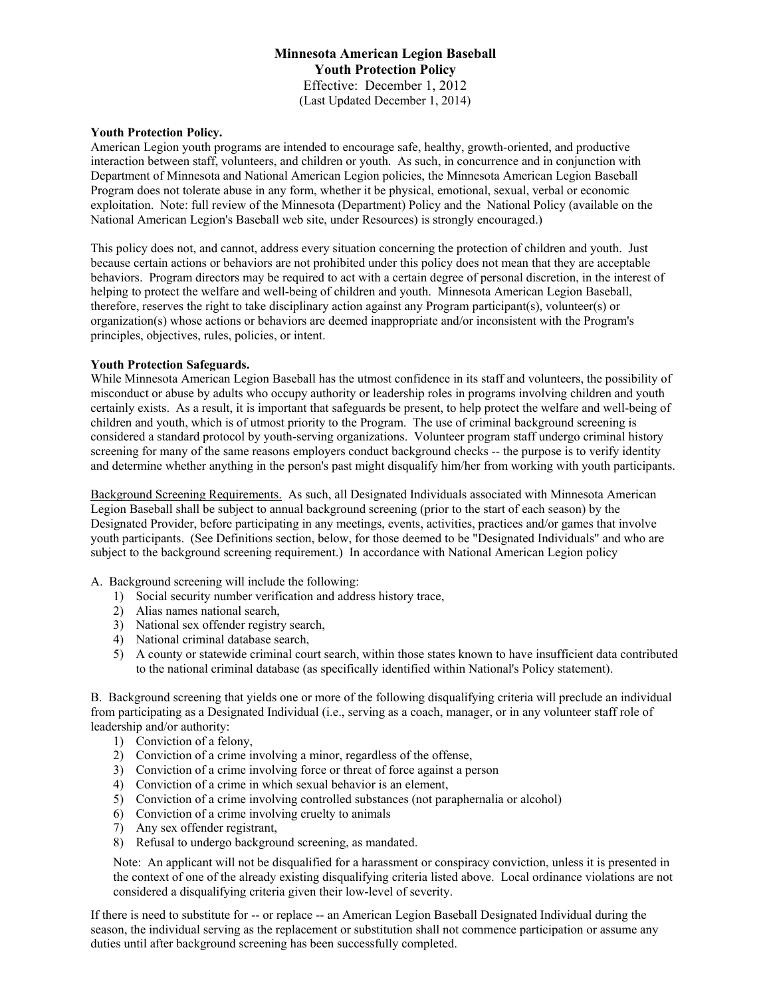# **Minnesota American Legion Baseball Youth Protection Policy**  Effective: December 1, 2012 (Last Updated December 1, 2014)

#### **Youth Protection Policy.**

American Legion youth programs are intended to encourage safe, healthy, growth-oriented, and productive interaction between staff, volunteers, and children or youth. As such, in concurrence and in conjunction with Department of Minnesota and National American Legion policies, the Minnesota American Legion Baseball Program does not tolerate abuse in any form, whether it be physical, emotional, sexual, verbal or economic exploitation. Note: full review of the Minnesota (Department) Policy and the National Policy (available on the National American Legion's Baseball web site, under Resources) is strongly encouraged.)

This policy does not, and cannot, address every situation concerning the protection of children and youth. Just because certain actions or behaviors are not prohibited under this policy does not mean that they are acceptable behaviors. Program directors may be required to act with a certain degree of personal discretion, in the interest of helping to protect the welfare and well-being of children and youth. Minnesota American Legion Baseball, therefore, reserves the right to take disciplinary action against any Program participant(s), volunteer(s) or organization(s) whose actions or behaviors are deemed inappropriate and/or inconsistent with the Program's principles, objectives, rules, policies, or intent.

#### **Youth Protection Safeguards.**

While Minnesota American Legion Baseball has the utmost confidence in its staff and volunteers, the possibility of misconduct or abuse by adults who occupy authority or leadership roles in programs involving children and youth certainly exists. As a result, it is important that safeguards be present, to help protect the welfare and well-being of children and youth, which is of utmost priority to the Program. The use of criminal background screening is considered a standard protocol by youth-serving organizations. Volunteer program staff undergo criminal history screening for many of the same reasons employers conduct background checks -- the purpose is to verify identity and determine whether anything in the person's past might disqualify him/her from working with youth participants.

Background Screening Requirements. As such, all Designated Individuals associated with Minnesota American Legion Baseball shall be subject to annual background screening (prior to the start of each season) by the Designated Provider, before participating in any meetings, events, activities, practices and/or games that involve youth participants. (See Definitions section, below, for those deemed to be "Designated Individuals" and who are subject to the background screening requirement.) In accordance with National American Legion policy

#### A. Background screening will include the following:

- 1) Social security number verification and address history trace,
- 2) Alias names national search,
- 3) National sex offender registry search,
- 4) National criminal database search,
- 5) A county or statewide criminal court search, within those states known to have insufficient data contributed to the national criminal database (as specifically identified within National's Policy statement).

B. Background screening that yields one or more of the following disqualifying criteria will preclude an individual from participating as a Designated Individual (i.e., serving as a coach, manager, or in any volunteer staff role of leadership and/or authority:

- 1) Conviction of a felony,
- 2) Conviction of a crime involving a minor, regardless of the offense,
- 3) Conviction of a crime involving force or threat of force against a person
- 4) Conviction of a crime in which sexual behavior is an element,
- 5) Conviction of a crime involving controlled substances (not paraphernalia or alcohol)
- 6) Conviction of a crime involving cruelty to animals
- 7) Any sex offender registrant,
- 8) Refusal to undergo background screening, as mandated.

Note: An applicant will not be disqualified for a harassment or conspiracy conviction, unless it is presented in the context of one of the already existing disqualifying criteria listed above. Local ordinance violations are not considered a disqualifying criteria given their low-level of severity.

If there is need to substitute for -- or replace -- an American Legion Baseball Designated Individual during the season, the individual serving as the replacement or substitution shall not commence participation or assume any duties until after background screening has been successfully completed.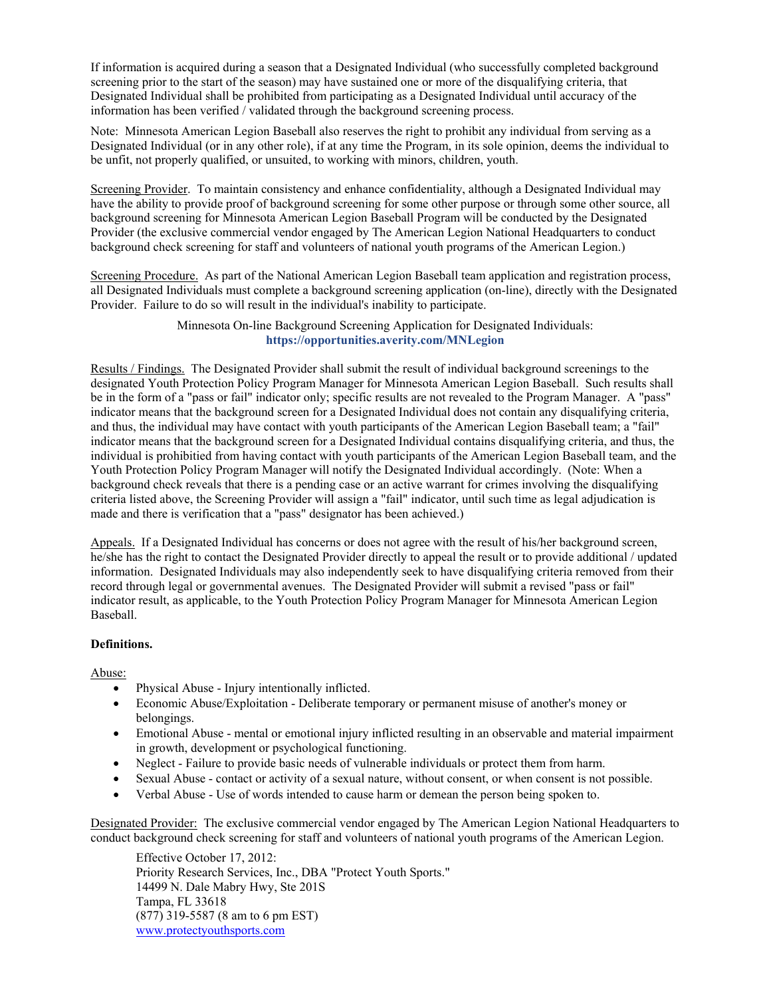If information is acquired during a season that a Designated Individual (who successfully completed background screening prior to the start of the season) may have sustained one or more of the disqualifying criteria, that Designated Individual shall be prohibited from participating as a Designated Individual until accuracy of the information has been verified / validated through the background screening process.

Note: Minnesota American Legion Baseball also reserves the right to prohibit any individual from serving as a Designated Individual (or in any other role), if at any time the Program, in its sole opinion, deems the individual to be unfit, not properly qualified, or unsuited, to working with minors, children, youth.

Screening Provider. To maintain consistency and enhance confidentiality, although a Designated Individual may have the ability to provide proof of background screening for some other purpose or through some other source, all background screening for Minnesota American Legion Baseball Program will be conducted by the Designated Provider (the exclusive commercial vendor engaged by The American Legion National Headquarters to conduct background check screening for staff and volunteers of national youth programs of the American Legion.)

Screening Procedure. As part of the National American Legion Baseball team application and registration process, all Designated Individuals must complete a background screening application (on-line), directly with the Designated Provider. Failure to do so will result in the individual's inability to participate.

> Minnesota On-line Background Screening Application for Designated Individuals: **https://opportunities.averity.com/MNLegion**

Results / Findings. The Designated Provider shall submit the result of individual background screenings to the designated Youth Protection Policy Program Manager for Minnesota American Legion Baseball. Such results shall be in the form of a "pass or fail" indicator only; specific results are not revealed to the Program Manager. A "pass" indicator means that the background screen for a Designated Individual does not contain any disqualifying criteria, and thus, the individual may have contact with youth participants of the American Legion Baseball team; a "fail" indicator means that the background screen for a Designated Individual contains disqualifying criteria, and thus, the individual is prohibitied from having contact with youth participants of the American Legion Baseball team, and the Youth Protection Policy Program Manager will notify the Designated Individual accordingly. (Note: When a background check reveals that there is a pending case or an active warrant for crimes involving the disqualifying criteria listed above, the Screening Provider will assign a "fail" indicator, until such time as legal adjudication is made and there is verification that a "pass" designator has been achieved.)

Appeals. If a Designated Individual has concerns or does not agree with the result of his/her background screen. he/she has the right to contact the Designated Provider directly to appeal the result or to provide additional / updated information. Designated Individuals may also independently seek to have disqualifying criteria removed from their record through legal or governmental avenues. The Designated Provider will submit a revised "pass or fail" indicator result, as applicable, to the Youth Protection Policy Program Manager for Minnesota American Legion Baseball.

### **Definitions.**

Abuse:

- x Physical Abuse Injury intentionally inflicted.
- Economic Abuse/Exploitation Deliberate temporary or permanent misuse of another's money or belongings.
- Emotional Abuse mental or emotional injury inflicted resulting in an observable and material impairment in growth, development or psychological functioning.
- Neglect Failure to provide basic needs of vulnerable individuals or protect them from harm.
- Sexual Abuse contact or activity of a sexual nature, without consent, or when consent is not possible.
- x Verbal Abuse Use of words intended to cause harm or demean the person being spoken to.

Designated Provider: The exclusive commercial vendor engaged by The American Legion National Headquarters to conduct background check screening for staff and volunteers of national youth programs of the American Legion.

Effective October 17, 2012: Priority Research Services, Inc., DBA "Protect Youth Sports." 14499 N. Dale Mabry Hwy, Ste 201S Tampa, FL 33618 (877) 319-5587 (8 am to 6 pm EST) www.protectyouthsports.com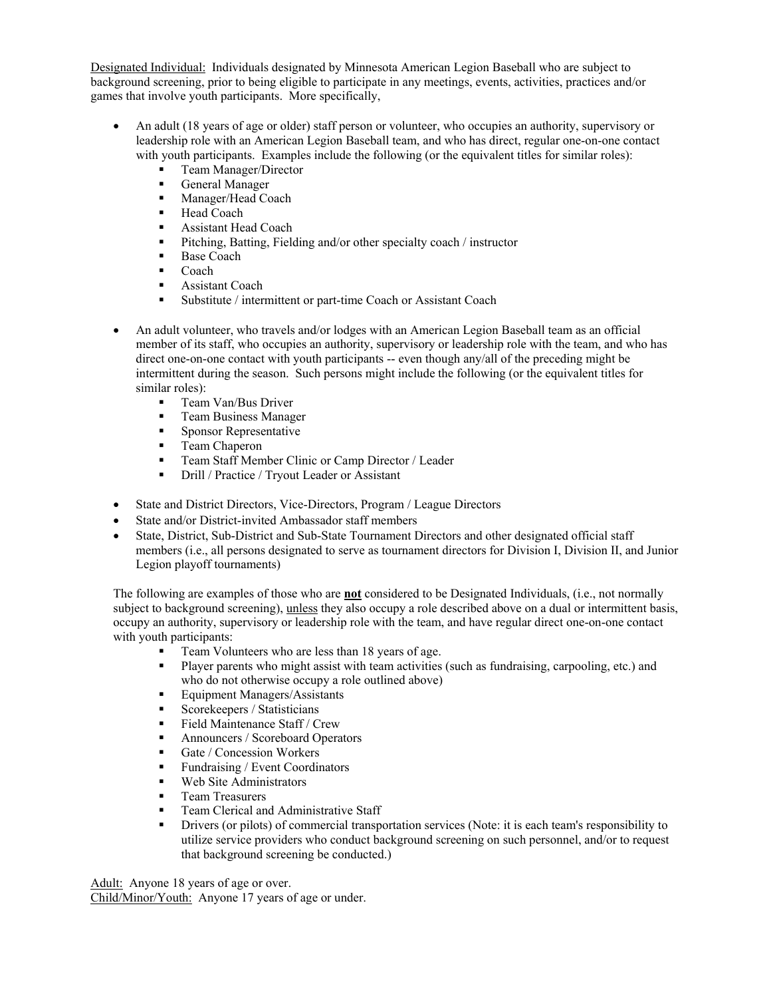Designated Individual: Individuals designated by Minnesota American Legion Baseball who are subject to background screening, prior to being eligible to participate in any meetings, events, activities, practices and/or games that involve youth participants. More specifically,

- An adult (18 years of age or older) staff person or volunteer, who occupies an authority, supervisory or leadership role with an American Legion Baseball team, and who has direct, regular one-on-one contact with youth participants. Examples include the following (or the equivalent titles for similar roles):
	- Team Manager/Director
	- General Manager
	- **Manager/Head Coach**
	- Head Coach
	- **Assistant Head Coach**
	- Pitching, Batting, Fielding and/or other specialty coach / instructor
	- Base Coach
	- $\blacksquare$  Coach
	- **Assistant Coach**
	- Substitute / intermittent or part-time Coach or Assistant Coach
- An adult volunteer, who travels and/or lodges with an American Legion Baseball team as an official member of its staff, who occupies an authority, supervisory or leadership role with the team, and who has direct one-on-one contact with youth participants -- even though any/all of the preceding might be intermittent during the season. Such persons might include the following (or the equivalent titles for similar roles):
	- **Team Van/Bus Driver**
	- **Team Business Manager**
	- **Sponsor Representative**
	- **Team Chaperon**
	- **Team Staff Member Clinic or Camp Director / Leader**
	- Drill / Practice / Tryout Leader or Assistant
- State and District Directors, Vice-Directors, Program / League Directors
- State and/or District-invited Ambassador staff members
- State, District, Sub-District and Sub-State Tournament Directors and other designated official staff members (i.e., all persons designated to serve as tournament directors for Division I, Division II, and Junior Legion playoff tournaments)

The following are examples of those who are **not** considered to be Designated Individuals, (i.e., not normally subject to background screening), unless they also occupy a role described above on a dual or intermittent basis, occupy an authority, supervisory or leadership role with the team, and have regular direct one-on-one contact with youth participants:

- Team Volunteers who are less than 18 years of age.
- Player parents who might assist with team activities (such as fundraising, carpooling, etc.) and who do not otherwise occupy a role outlined above)
- Equipment Managers/Assistants
- Scorekeepers / Statisticians
- $\blacksquare$  Field Maintenance Staff / Crew
- Announcers / Scoreboard Operators
- Gate / Concession Workers
- Fundraising / Event Coordinators
- Web Site Administrators
- **Team Treasurers**
- **Team Clerical and Administrative Staff**
- Drivers (or pilots) of commercial transportation services (Note: it is each team's responsibility to utilize service providers who conduct background screening on such personnel, and/or to request that background screening be conducted.)

Adult: Anyone 18 years of age or over. Child/Minor/Youth: Anyone 17 years of age or under.